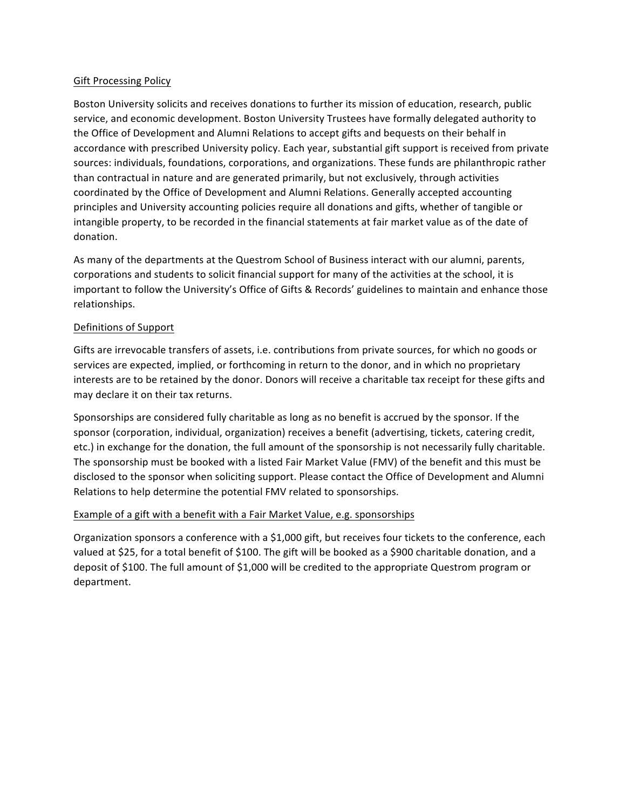### **Gift Processing Policy**

Boston University solicits and receives donations to further its mission of education, research, public service, and economic development. Boston University Trustees have formally delegated authority to the Office of Development and Alumni Relations to accept gifts and bequests on their behalf in accordance with prescribed University policy. Each year, substantial gift support is received from private sources: individuals, foundations, corporations, and organizations. These funds are philanthropic rather than contractual in nature and are generated primarily, but not exclusively, through activities coordinated by the Office of Development and Alumni Relations. Generally accepted accounting principles and University accounting policies require all donations and gifts, whether of tangible or intangible property, to be recorded in the financial statements at fair market value as of the date of donation.

As many of the departments at the Questrom School of Business interact with our alumni, parents, corporations and students to solicit financial support for many of the activities at the school, it is important to follow the University's Office of Gifts & Records' guidelines to maintain and enhance those relationships. 

# Definitions of Support

Gifts are irrevocable transfers of assets, i.e. contributions from private sources, for which no goods or services are expected, implied, or forthcoming in return to the donor, and in which no proprietary interests are to be retained by the donor. Donors will receive a charitable tax receipt for these gifts and may declare it on their tax returns.

Sponsorships are considered fully charitable as long as no benefit is accrued by the sponsor. If the sponsor (corporation, individual, organization) receives a benefit (advertising, tickets, catering credit, etc.) in exchange for the donation, the full amount of the sponsorship is not necessarily fully charitable. The sponsorship must be booked with a listed Fair Market Value (FMV) of the benefit and this must be disclosed to the sponsor when soliciting support. Please contact the Office of Development and Alumni Relations to help determine the potential FMV related to sponsorships.

#### Example of a gift with a benefit with a Fair Market Value, e.g. sponsorships

Organization sponsors a conference with a \$1,000 gift, but receives four tickets to the conference, each valued at \$25, for a total benefit of \$100. The gift will be booked as a \$900 charitable donation, and a deposit of \$100. The full amount of \$1,000 will be credited to the appropriate Questrom program or department.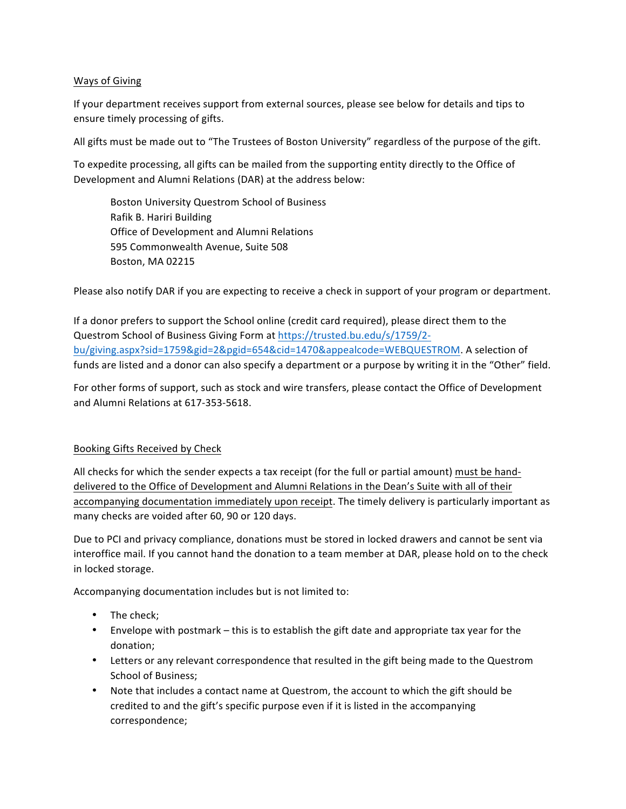# Ways of Giving

If your department receives support from external sources, please see below for details and tips to ensure timely processing of gifts.

All gifts must be made out to "The Trustees of Boston University" regardless of the purpose of the gift.

To expedite processing, all gifts can be mailed from the supporting entity directly to the Office of Development and Alumni Relations (DAR) at the address below:

Boston University Questrom School of Business Rafik B. Hariri Building Office of Development and Alumni Relations 595 Commonwealth Avenue, Suite 508 Boston, MA 02215

Please also notify DAR if you are expecting to receive a check in support of your program or department.

If a donor prefers to support the School online (credit card required), please direct them to the Questrom School of Business Giving Form at https://trusted.bu.edu/s/1759/2bu/giving.aspx?sid=1759&gid=2&pgid=654&cid=1470&appealcode=WEBQUESTROM. A selection of funds are listed and a donor can also specify a department or a purpose by writing it in the "Other" field.

For other forms of support, such as stock and wire transfers, please contact the Office of Development and Alumni Relations at 617-353-5618.

# Booking Gifts Received by Check

All checks for which the sender expects a tax receipt (for the full or partial amount) must be handdelivered to the Office of Development and Alumni Relations in the Dean's Suite with all of their accompanying documentation immediately upon receipt. The timely delivery is particularly important as many checks are voided after 60, 90 or 120 days.

Due to PCI and privacy compliance, donations must be stored in locked drawers and cannot be sent via interoffice mail. If you cannot hand the donation to a team member at DAR, please hold on to the check in locked storage.

Accompanying documentation includes but is not limited to:

- The check;
- Envelope with postmark this is to establish the gift date and appropriate tax year for the donation;
- Letters or any relevant correspondence that resulted in the gift being made to the Questrom School of Business;
- Note that includes a contact name at Questrom, the account to which the gift should be credited to and the gift's specific purpose even if it is listed in the accompanying correspondence;